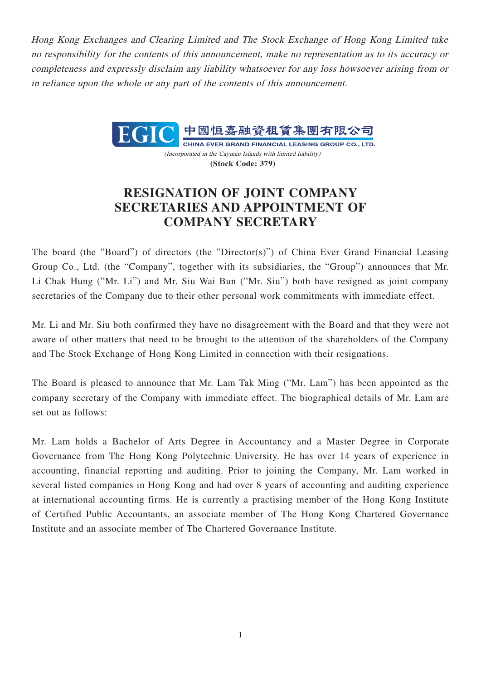Hong Kong Exchanges and Clearing Limited and The Stock Exchange of Hong Kong Limited take no responsibility for the contents of this announcement, make no representation as to its accuracy or completeness and expressly disclaim any liability whatsoever for any loss howsoever arising from or in reliance upon the whole or any part of the contents of this announcement.



CHINA EVER GRAND FINANCIAL LEASING GROUP CO., LTD. (Incorporated in the Cayman Islands with limited liability) **(Stock Code: 379)**

## **RESIGNATION OF JOINT COMPANY SECRETARIES AND APPOINTMENT OF COMPANY SECRETARY**

The board (the "Board") of directors (the "Director(s)") of China Ever Grand Financial Leasing Group Co., Ltd. (the "Company", together with its subsidiaries, the "Group") announces that Mr. Li Chak Hung ("Mr. Li") and Mr. Siu Wai Bun ("Mr. Siu") both have resigned as joint company secretaries of the Company due to their other personal work commitments with immediate effect.

Mr. Li and Mr. Siu both confirmed they have no disagreement with the Board and that they were not aware of other matters that need to be brought to the attention of the shareholders of the Company and The Stock Exchange of Hong Kong Limited in connection with their resignations.

The Board is pleased to announce that Mr. Lam Tak Ming ("Mr. Lam") has been appointed as the company secretary of the Company with immediate effect. The biographical details of Mr. Lam are set out as follows:

Mr. Lam holds a Bachelor of Arts Degree in Accountancy and a Master Degree in Corporate Governance from The Hong Kong Polytechnic University. He has over 14 years of experience in accounting, financial reporting and auditing. Prior to joining the Company, Mr. Lam worked in several listed companies in Hong Kong and had over 8 years of accounting and auditing experience at international accounting firms. He is currently a practising member of the Hong Kong Institute of Certified Public Accountants, an associate member of The Hong Kong Chartered Governance Institute and an associate member of The Chartered Governance Institute.